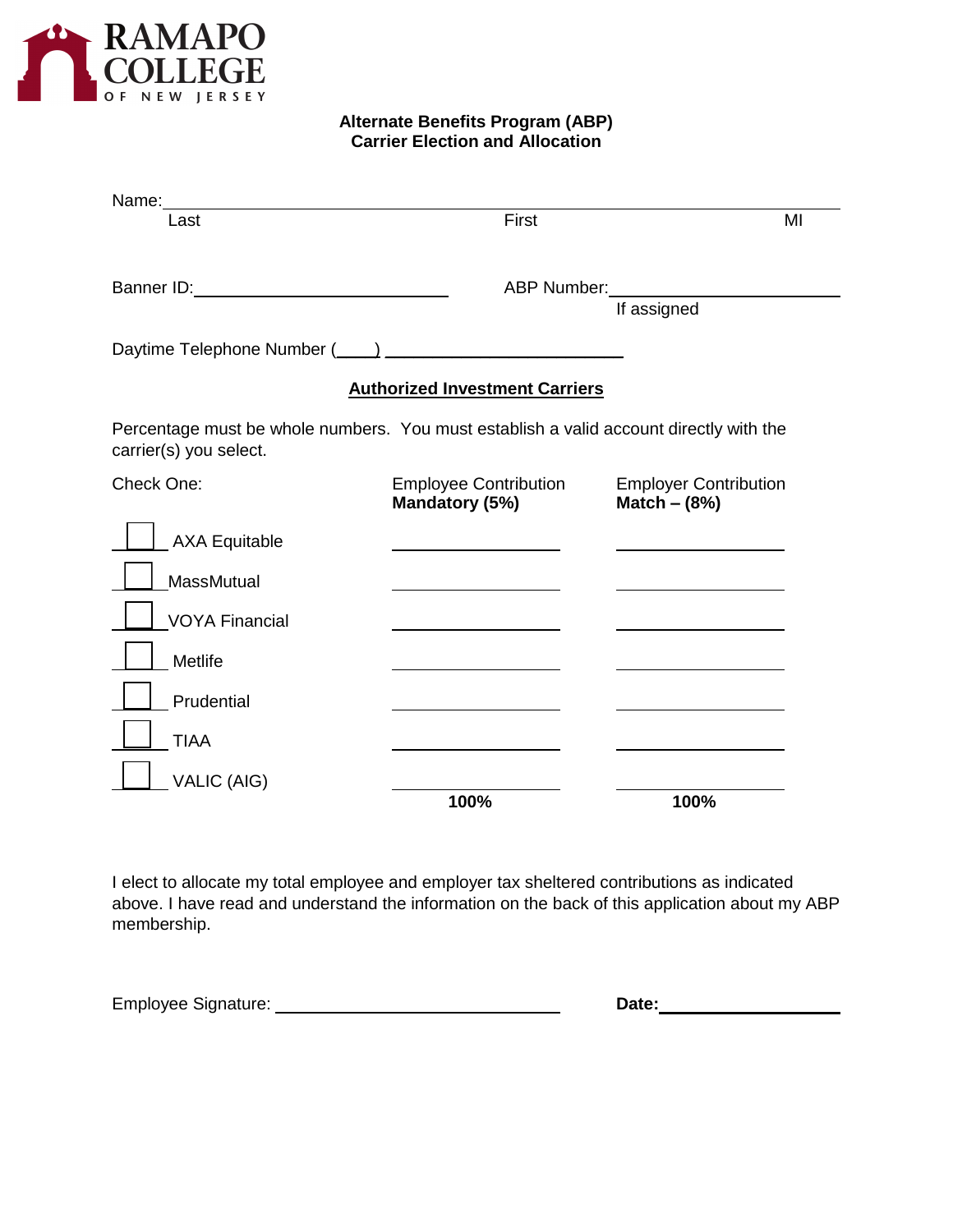

**Alternate Benefits Program (ABP) Carrier Election and Allocation**

| Name:                                                                                                                                                                                                                                |                                                |                                                |
|--------------------------------------------------------------------------------------------------------------------------------------------------------------------------------------------------------------------------------------|------------------------------------------------|------------------------------------------------|
| Last                                                                                                                                                                                                                                 | First                                          | MI                                             |
| Banner ID: <b>Contract Contract Contract Contract Contract Contract Contract Contract Contract Contract Contract Contract Contract Contract Contract Contract Contract Contract Contract Contract Contract Contract Contract Con</b> |                                                | ABP Number: 1997<br>If assigned                |
|                                                                                                                                                                                                                                      |                                                |                                                |
|                                                                                                                                                                                                                                      | <b>Authorized Investment Carriers</b>          |                                                |
| Percentage must be whole numbers. You must establish a valid account directly with the<br>carrier(s) you select.                                                                                                                     |                                                |                                                |
| Check One:                                                                                                                                                                                                                           | <b>Employee Contribution</b><br>Mandatory (5%) | <b>Employer Contribution</b><br>Match $-$ (8%) |
| <b>AXA Equitable</b>                                                                                                                                                                                                                 |                                                |                                                |
| <b>MassMutual</b>                                                                                                                                                                                                                    |                                                |                                                |
| <b>VOYA Financial</b>                                                                                                                                                                                                                |                                                |                                                |
| Metlife                                                                                                                                                                                                                              |                                                |                                                |
| Prudential                                                                                                                                                                                                                           |                                                |                                                |
| <b>TIAA</b>                                                                                                                                                                                                                          |                                                |                                                |
| <b>VALIC (AIG)</b>                                                                                                                                                                                                                   | 100%                                           | 100%                                           |

I elect to allocate my total employee and employer tax sheltered contributions as indicated above. I have read and understand the information on the back of this application about my ABP membership.

| <b>Employee Signature:</b> | Date: |
|----------------------------|-------|
|----------------------------|-------|